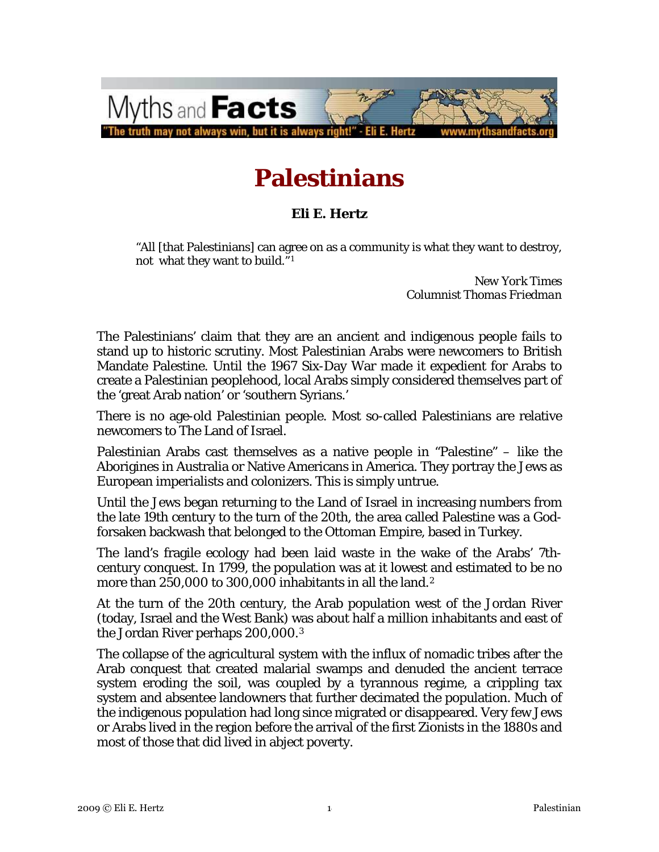

# **Palestinians**

#### **Eli E. Hertz**

"All [that Palestinians] can agree on as a community is what they want to destroy, not what they want to build."<sup>[1](#page-10-0)</sup>

> *New York Times Columnist Thomas Friedman*

The Palestinians' claim that they are an ancient and indigenous people fails to stand up to historic scrutiny. Most Palestinian Arabs were newcomers to British Mandate Palestine. Until the 1967 Six-Day War made it expedient for Arabs to create a Palestinian peoplehood, local Arabs simply considered themselves part of the 'great Arab nation' or 'southern Syrians.'

There is no age-old Palestinian people. Most so-called Palestinians are relative newcomers to The Land of Israel.

Palestinian Arabs cast themselves as a native people in "Palestine" – like the Aborigines in Australia or Native Americans in America. They portray the Jews as European imperialists and colonizers. This is simply untrue.

Until the Jews began returning to the Land of Israel in increasing numbers from the late 19th century to the turn of the 20th, the area called Palestine was a Godforsaken backwash that belonged to the Ottoman Empire, based in Turkey.

The land's fragile ecology had been laid waste in the wake of the Arabs' 7thcentury conquest. In 1799, the population was at it lowest and estimated to be no more than [2](#page-10-1)50,000 to 300,000 inhabitants in all the land.<sup>2</sup>

At the turn of the 20th century, the Arab population west of the Jordan River (today, Israel and the West Bank) was about half a million inhabitants and east of the Jordan River perhaps 200,000.[3](#page-10-1)

The collapse of the agricultural system with the influx of nomadic tribes after the Arab conquest that created malarial swamps and denuded the ancient terrace system eroding the soil, was coupled by a tyrannous regime, a crippling tax system and absentee landowners that further decimated the population. Much of the indigenous population had long since migrated or disappeared. Very few Jews or Arabs lived in the region before the arrival of the first Zionists in the 1880s and most of those that did lived in abject poverty.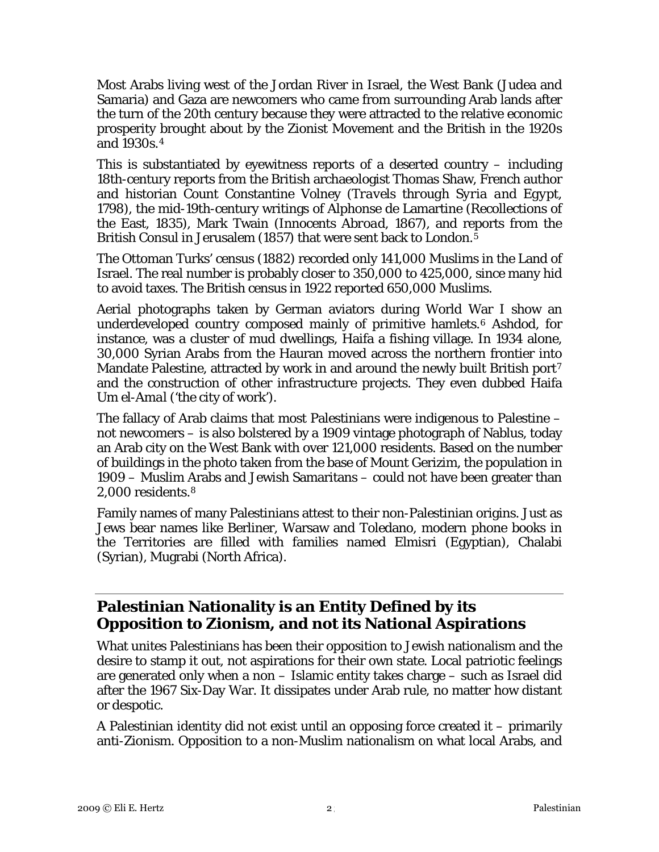Most Arabs living west of the Jordan River in Israel, the West Bank (Judea and Samaria) and Gaza are newcomers who came from surrounding Arab lands after the turn of the 20th century because they were attracted to the relative economic prosperity brought about by the Zionist Movement and the British in the 1920s and 1930s.<sup>[4](#page-10-1)</sup>

This is substantiated by eyewitness reports of a deserted country – including 18th-century reports from the British archaeologist Thomas Shaw, French author and historian Count Constantine Volney *(Travels through Syria and Egypt, 1798),* the mid-19th-century writings of Alphonse de Lamartine (Recollections of the East, 1835), Mark Twain *(Innocents Abroad, 1867)*, and reports from the British Consul in Jerusalem (18[5](#page-10-1)7) that were sent back to London.<sup>5</sup>

The Ottoman Turks' census (1882) recorded only 141,000 Muslims in the Land of Israel. The real number is probably closer to 350,000 to 425,000, since many hid to avoid taxes. The British census in 1922 reported 650,000 Muslims.

Aerial photographs taken by German aviators during World War I show an underdeveloped country composed mainly of primitive hamlets.<sup>[6](#page-10-1)</sup> Ashdod, for instance, was a cluster of mud dwellings, Haifa a fishing village. In 1934 alone, 30,000 Syrian Arabs from the Hauran moved across the northern frontier into Mandate Palestine, attracted by work in and around the newly built British port<sup>[7](#page-10-1)</sup> and the construction of other infrastructure projects. They even dubbed Haifa *Um el-Amal* ('the city of work').

The fallacy of Arab claims that most Palestinians were indigenous to Palestine – not newcomers – is also bolstered by a 1909 vintage photograph of Nablus, today an Arab city on the West Bank with over 121,000 residents. Based on the number of buildings in the photo taken from the base of Mount Gerizim, the population in 1909 – Muslim Arabs and Jewish Samaritans – could not have been greater than 2,000 residents.[8](#page-10-1)

Family names of many Palestinians attest to their non-Palestinian origins. Just as Jews bear names like Berliner, Warsaw and Toledano, modern phone books in the Territories are filled with families named Elmisri (Egyptian), Chalabi (Syrian), Mugrabi (North Africa).

## **Palestinian Nationality is an Entity Defined by its Opposition to Zionism, and not its National Aspirations**

What unites Palestinians has been their opposition to Jewish nationalism and the desire to stamp it out, not aspirations for their own state. Local patriotic feelings are generated only when a non – Islamic entity takes charge – such as Israel did after the 1967 Six-Day War. It dissipates under Arab rule, no matter how distant or despotic.

A Palestinian identity did not exist until an opposing force created it – primarily anti-Zionism. Opposition to a non-Muslim nationalism on what local Arabs, and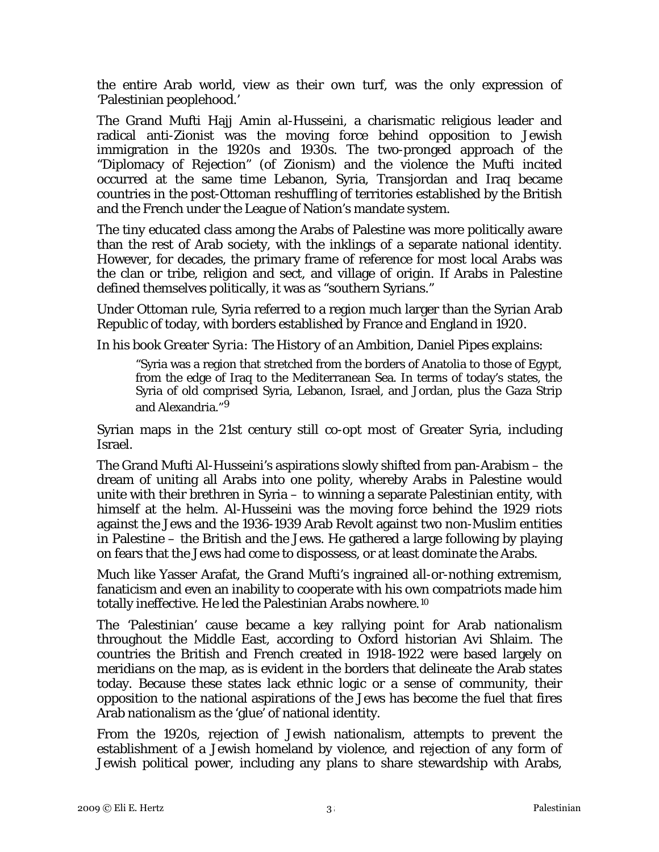the entire Arab world, view as their own turf, was the only expression of 'Palestinian peoplehood.'

The Grand Mufti Hajj Amin al-Husseini, a charismatic religious leader and radical anti-Zionist was the moving force behind opposition to Jewish immigration in the 1920s and 1930s. The two-pronged approach of the "Diplomacy of Rejection" (of Zionism) and the violence the Mufti incited occurred at the same time Lebanon, Syria, Transjordan and Iraq became countries in the post-Ottoman reshuffling of territories established by the British and the French under the League of Nation's mandate system.

The tiny educated class among the Arabs of Palestine was more politically aware than the rest of Arab society, with the inklings of a separate national identity. However, for decades, the primary frame of reference for *most* local Arabs was the clan or tribe, religion and sect, and village of origin. If Arabs in Palestine defined themselves politically, it was as "southern Syrians."

Under Ottoman rule, Syria referred to a region much larger than the Syrian Arab Republic of today, with borders established by France and England in 1920.

In his book *Greater Syria: The History of an Ambition*, Daniel Pipes explains:

"Syria was a region that stretched from the borders of Anatolia to those of Egypt, from the edge of Iraq to the Mediterranean Sea. In terms of today's states, the Syria of old comprised Syria, Lebanon, Israel, and Jordan, plus the Gaza Strip and Alexandria."*[9](#page-10-1)*

Syrian maps in the 21st century still co-opt most of Greater Syria, including Israel.

The Grand Mufti Al-Husseini's aspirations slowly shifted from pan-Arabism – the dream of uniting all Arabs into one polity, whereby Arabs in Palestine would unite with their brethren in Syria – to winning a separate Palestinian entity, with himself at the helm. Al-Husseini was the moving force behind the 1929 riots against the Jews and the 1936-1939 Arab Revolt against two non-Muslim entities in Palestine – the British and the Jews. He gathered a large following by playing on fears that the Jews had come to dispossess, or at least dominate the Arabs.

Much like Yasser Arafat, the Grand Mufti's ingrained all-or-nothing extremism, fanaticism and even an inability to cooperate with his own compatriots made him totally ineffective. He led the Palestinian Arabs nowhere.[10](#page-10-1)

The 'Palestinian' cause became a key rallying point for Arab nationalism throughout the Middle East, according to Oxford historian Avi Shlaim. The countries the British and French created in 1918-1922 were based largely on meridians on the map, as is evident in the borders that delineate the Arab states today. Because these states lack ethnic logic or a sense of community, their opposition to the national aspirations of the Jews has become the fuel that fires Arab nationalism as the 'glue' of national identity.

From the 1920s, rejection of Jewish nationalism, attempts to prevent the establishment of a Jewish homeland by violence, and rejection of any form of Jewish political power, including any plans to share stewardship with Arabs,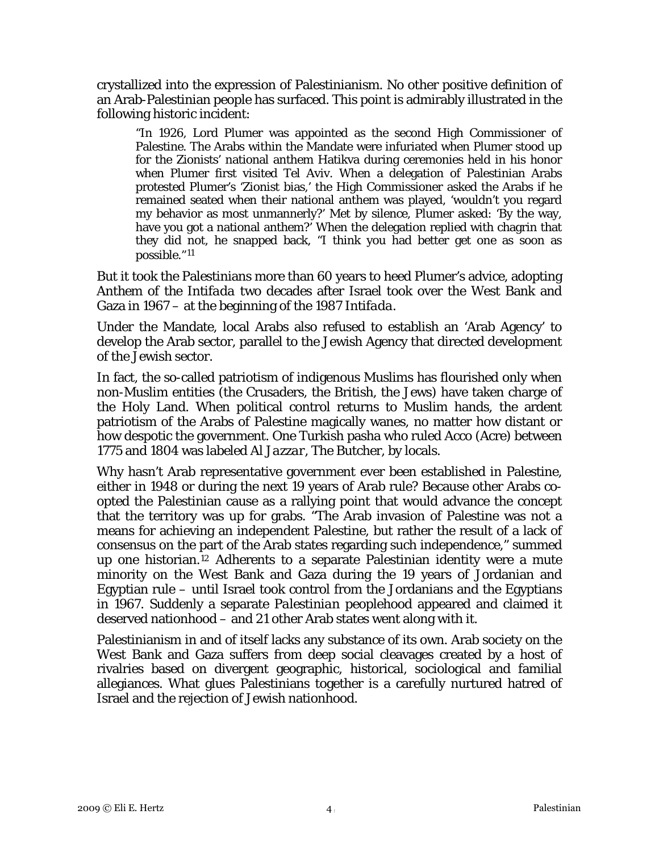crystallized into the expression of Palestinianism. No other positive definition of an Arab-Palestinian people has surfaced. This point is admirably illustrated in the following historic incident:

"In 1926, Lord Plumer was appointed as the second High Commissioner of Palestine. The Arabs within the Mandate were infuriated when Plumer stood up for the Zionists' national anthem Hatikva during ceremonies held in his honor when Plumer first visited Tel Aviv. When a delegation of Palestinian Arabs protested Plumer's 'Zionist bias,' the High Commissioner asked the Arabs if he remained seated when their national anthem was played, 'wouldn't you regard my behavior as most unmannerly?' Met by silence, Plumer asked: 'By the way, have you got a national anthem?' When the delegation replied with chagrin that they did not, he snapped back, "I think you had better get one as soon as possible."*[11](#page-10-1)*

But it took the Palestinians more than 60 years to heed Plumer's advice, adopting *Anthem of the Intifada* two decades after Israel took over the West Bank and Gaza in 1967 – at the beginning of the 1987 *Intifada*.

Under the Mandate, local Arabs also refused to establish an 'Arab Agency' to develop the Arab sector, parallel to the Jewish Agency that directed development of the Jewish sector.

In fact, the so-called patriotism of indigenous Muslims has flourished only when non-Muslim entities (the Crusaders, the British, the Jews) have taken charge of the Holy Land. When political control returns to Muslim hands, the ardent patriotism of the Arabs of Palestine magically wanes, no matter how distant or how despotic the government. One Turkish pasha who ruled Acco (Acre) between 1775 and 1804 was labeled *Al Jazzar*, The Butcher, by locals.

Why hasn't Arab representative government ever been established in Palestine, either in 1948 or during the next 19 years of Arab rule? Because other Arabs coopted the Palestinian cause as a rallying point that would advance the concept that the territory was up for grabs. "The Arab invasion of Palestine was not a means for achieving an independent Palestine, but rather the result of a lack of consensus on the part of the Arab states regarding such independence," summed up one historian.[12](#page-10-1) Adherents to a separate Palestinian identity were a mute minority on the West Bank and Gaza during the 19 years of Jordanian and Egyptian rule – until Israel took control from the Jordanians and the Egyptians in 1967. Suddenly a separate *Palestinian* peoplehood appeared and claimed it deserved nationhood – and 21 other Arab states went along with it.

Palestinianism in and of itself lacks any substance of its own. Arab society on the West Bank and Gaza suffers from deep social cleavages created by a host of rivalries based on divergent geographic, historical, sociological and familial allegiances. What glues Palestinians together is a carefully nurtured hatred of Israel and the rejection of Jewish nationhood.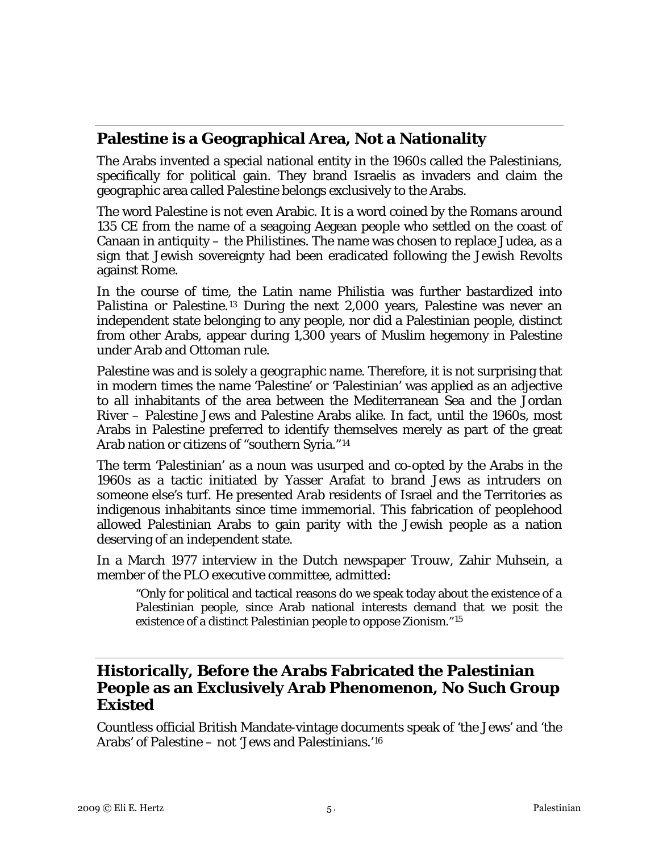#### **Palestine is a Geographical Area, Not a Nationality**

The Arabs invented a special national entity in the 1960s called the Palestinians, specifically for political gain. They brand Israelis as invaders and claim the geographic area called Palestine belongs exclusively to the Arabs.

The word Palestine is not even Arabic. It is a word coined by the Romans around 135 CE from the name of a seagoing Aegean people who settled on the coast of Canaan in antiquity – the *Philistines*. The name was chosen to replace Judea, as a sign that Jewish sovereignty had been eradicated following the Jewish Revolts against Rome.

In the course of time, the Latin name *Philistia* was further bastardized into *Palistina* or Palestine.[13](#page-10-1) During the next 2,000 years, Palestine was never an independent state belonging to any people, nor did a Palestinian people, distinct from other Arabs, appear during 1,300 years of Muslim hegemony in Palestine under Arab and Ottoman rule.

Palestine was and is solely a *geographic name*. Therefore, it is not surprising that in modern times the name 'Palestine' or 'Palestinian' was applied as an adjective to *all* inhabitants of the area between the Mediterranean Sea and the Jordan River – Palestine Jews and Palestine Arabs alike. In fact, until the 1960s, most Arabs in Palestine preferred to identify themselves merely as part of the great Arab nation or citizens of "southern Syria."[14](#page-10-1)

The term 'Palestinian' as a noun was usurped and co-opted by the Arabs in the 1960s as a tactic initiated by Yasser Arafat to brand Jews as intruders on someone else's turf. He presented Arab residents of Israel and the Territories as indigenous inhabitants since time immemorial. This fabrication of peoplehood allowed Palestinian Arabs to gain parity with the Jewish people as a nation deserving of an independent state.

In a March 1977 interview in the Dutch newspaper *Trouw,* Zahir Muhsein, a member of the PLO executive committee, admitted:

"Only for political and tactical reasons do we speak today about the existence of a Palestinian people, since Arab national interests demand that we posit the existence of a distinct Palestinian people to oppose Zionism."[15](#page-10-1)

#### **Historically, Before the Arabs Fabricated the Palestinian People as an Exclusively Arab Phenomenon, No Such Group Existed**

Countless official British Mandate-vintage documents speak of 'the Jews' and 'the Arabs' of Palestine – not 'Jews and Palestinians.'[16](#page-10-1)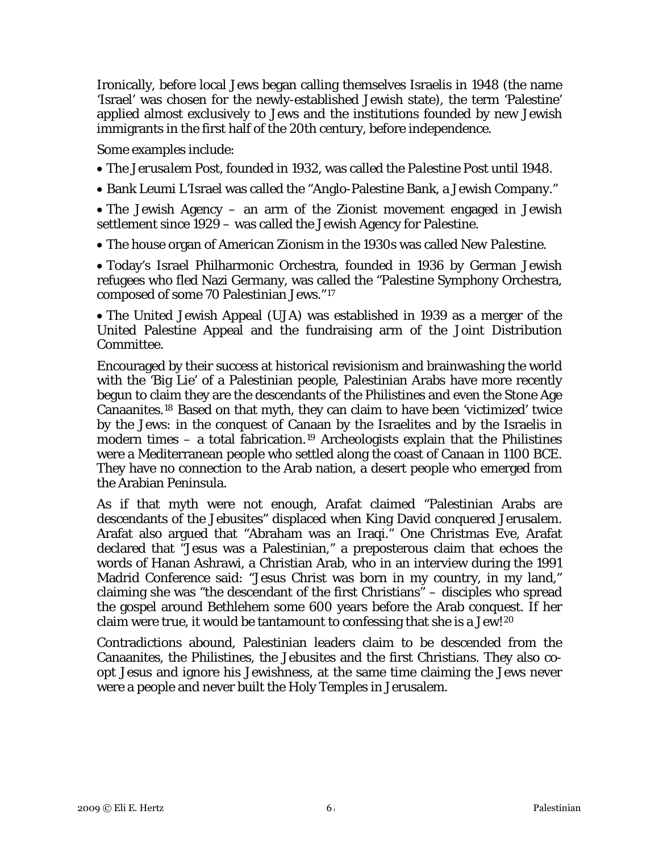Ironically, before local Jews began calling themselves Israelis in 1948 (the name 'Israel' was chosen for the newly-established Jewish state), the term 'Palestine' applied almost exclusively to Jews and the institutions founded by new Jewish immigrants in the first half of the 20th century, before independence.

Some examples include:

• The *Jerusalem Post*, founded in 1932, was called the *Palestine Post* until 1948.

• Bank Leumi L'Israel was called the "Anglo-Palestine Bank, a Jewish Company."

• The Jewish Agency – an arm of the Zionist movement engaged in Jewish settlement since 1929 – was called the Jewish Agency for Palestine.

• The house organ of American Zionism in the 1930s was called *New Palestine*.

• Today's Israel Philharmonic Orchestra, founded in 1936 by German Jewish refugees who fled Nazi Germany, was called the "Palestine Symphony Orchestra, composed of some 70 Palestinian Jews."[17](#page-10-1)

• The United Jewish Appeal (UJA) was established in 1939 as a merger of the United Palestine Appeal and the fundraising arm of the Joint Distribution Committee.

Encouraged by their success at historical revisionism and brainwashing the world with the 'Big Lie' of a Palestinian people, Palestinian Arabs have more recently begun to claim they are the descendants of the Philistines and even the Stone Age Canaanites.[18](#page-10-1) Based on that myth, they can claim to have been 'victimized' twice by the Jews: in the conquest of Canaan by the Israelites and by the Israelis in modern times – a total fabrication.<sup>[19](#page-10-1)</sup> Archeologists explain that the Philistines were a Mediterranean people who settled along the coast of Canaan in 1100 BCE. They have no connection to the Arab nation, a desert people who emerged from the Arabian Peninsula.

As if that myth were not enough, Arafat claimed "Palestinian Arabs are descendants of the Jebusites" displaced when King David conquered Jerusalem. Arafat also argued that "Abraham was an Iraqi." One Christmas Eve, Arafat declared that "Jesus was a Palestinian," a preposterous claim that echoes the words of Hanan Ashrawi, a Christian Arab, who in an interview during the 1991 Madrid Conference said: "Jesus Christ was born in my country, in my land," claiming she was "the descendant of the first Christians" – disciples who spread the gospel around Bethlehem some 600 years before the Arab conquest. If her claim were true, it would be tantamount to confessing that she is a Jew![20](#page-10-1)

Contradictions abound, Palestinian leaders claim to be descended from the Canaanites, the Philistines, the Jebusites and the first Christians. They also coopt Jesus and ignore his Jewishness, at the same time claiming the Jews never were a people and never built the Holy Temples in Jerusalem.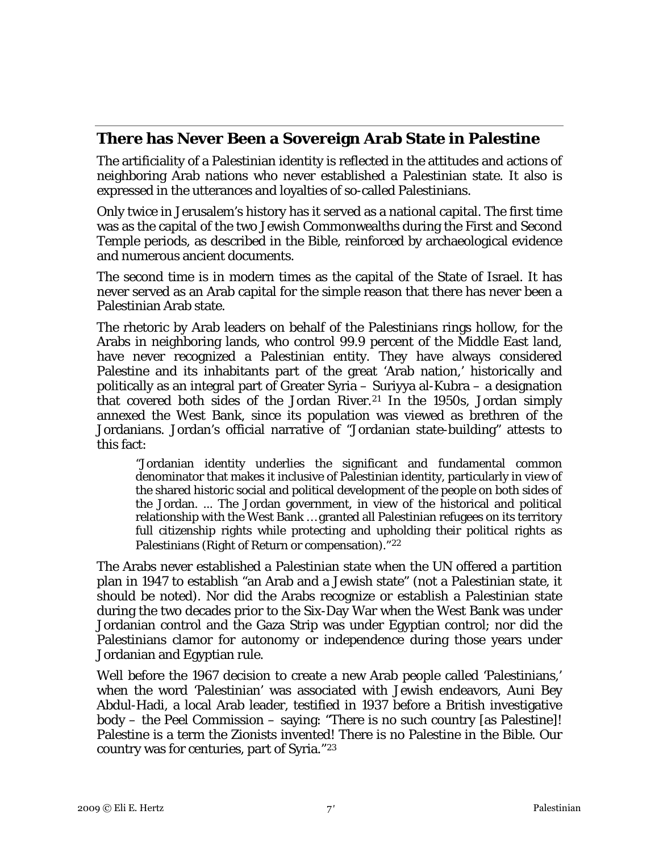#### **There has Never Been a Sovereign Arab State in Palestine**

The artificiality of a Palestinian identity is reflected in the attitudes and actions of neighboring Arab nations who never established a Palestinian state. It also is expressed in the utterances and loyalties of so-called Palestinians.

Only twice in Jerusalem's history has it served as a national capital. The first time was as the capital of the two Jewish Commonwealths during the First and Second Temple periods, as described in the Bible, reinforced by archaeological evidence and numerous ancient documents.

The second time is in modern times as the capital of the State of Israel. It has never served as an Arab capital for the simple reason that there has never been a Palestinian Arab state.

The rhetoric by Arab leaders on behalf of the Palestinians rings hollow, for the Arabs in neighboring lands, who control 99.9 percent of the Middle East land, have never recognized a Palestinian entity. They have always considered Palestine and its inhabitants part of the great 'Arab nation,' historically and politically as an integral part of Greater Syria – Suriyya al-Kubra – a designation that covered both sides of the Jordan River.[21](#page-10-1) In the 1950s, Jordan simply annexed the West Bank, since its population was viewed as brethren of the Jordanians. Jordan's official narrative of "Jordanian state-building" attests to this fact:

"Jordanian identity underlies the significant and fundamental common denominator that makes it inclusive of Palestinian identity, particularly in view of the shared historic social and political development of the people on both sides of the Jordan. ... The Jordan government, in view of the historical and political relationship with the West Bank … granted all Palestinian refugees on its territory full citizenship rights while protecting and upholding their political rights as Palestinians (Right of Return or compensation)."[22](#page-10-1)

The Arabs never established a Palestinian state when the UN offered a partition plan in 1947 to establish "an Arab and a Jewish state" (not a Palestinian state, it should be noted). Nor did the Arabs recognize or establish a Palestinian state during the two decades prior to the Six-Day War when the West Bank was under Jordanian control and the Gaza Strip was under Egyptian control; nor did the Palestinians clamor for autonomy or independence during those years under Jordanian and Egyptian rule.

Well before the 1967 decision to create a new Arab people called 'Palestinians,' when the word 'Palestinian' was associated with Jewish endeavors, Auni Bey Abdul-Hadi, a local Arab leader, testified in 1937 before a British investigative body – the Peel Commission – saying: "There is no such country [as Palestine]! Palestine is a term the Zionists invented! There is no Palestine in the Bible. Our country was for centuries, part of Syria."[23](#page-10-1)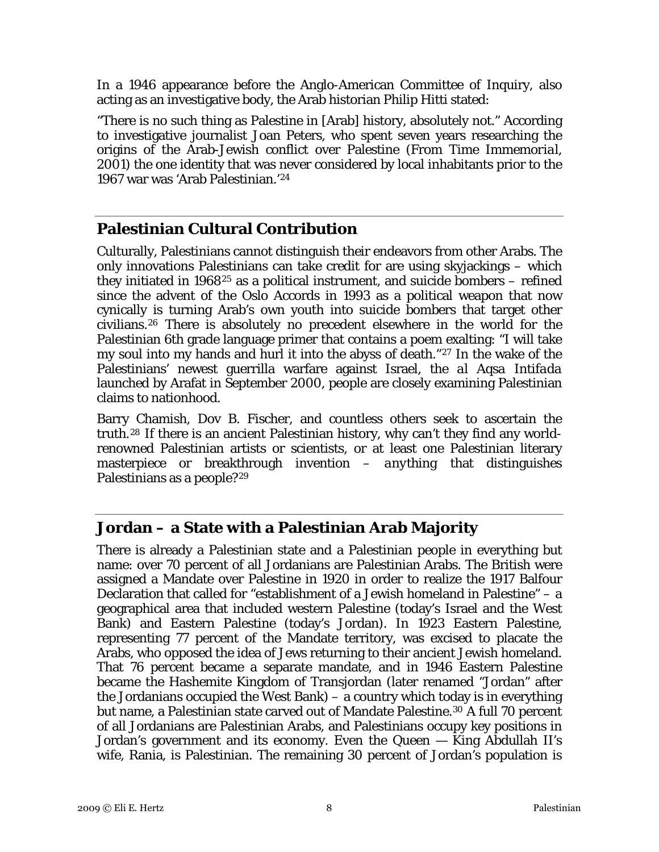In a 1946 appearance before the Anglo-American Committee of Inquiry, also acting as an investigative body, the Arab historian Philip Hitti stated:

"There is no such thing as Palestine in [Arab] history, absolutely not." According to investigative journalist Joan Peters, who spent seven years researching the origins of the Arab-Jewish conflict over Palestine (From *Time Immemorial*, 2001) the one identity that was never considered by local inhabitants prior to the 1967 war was 'Arab Palestinian.'[24](#page-10-1)

## **Palestinian Cultural Contribution**

Culturally, Palestinians cannot distinguish their endeavors from other Arabs. The only innovations Palestinians can take credit for are using skyjackings – which they initiated in  $1968^{25}$  $1968^{25}$  $1968^{25}$  as a political instrument, and suicide bombers – refined since the advent of the Oslo Accords in 1993 as a political weapon that now cynically is turning Arab's own youth into suicide bombers that target other civilians.[26](#page-10-1) There is absolutely no precedent elsewhere in the world for the Palestinian 6th grade language primer that contains a poem exalting: "I will take my soul into my hands and hurl it into the abyss of death."[27](#page-10-1) In the wake of the Palestinians' newest guerrilla warfare against Israel, the *al Aqsa Intifada* launched by Arafat in September 2000, people are closely examining Palestinian claims to nationhood.

Barry Chamish, Dov B. Fischer, and countless others seek to ascertain the truth.[28](#page-10-1) If there is an ancient Palestinian history, why can't they find any worldrenowned Palestinian artists or scientists, or at least one Palestinian literary masterpiece or breakthrough invention – *anything* that distinguishes Palestinians as a people?[29](#page-10-1)

#### **Jordan – a State with a Palestinian Arab Majority**

There is already a Palestinian state and a Palestinian people in everything but name: over 70 percent of all Jordanians are Palestinian Arabs. The British were assigned a Mandate over Palestine in 1920 in order to realize the 1917 Balfour Declaration that called for "establishment of a Jewish homeland in Palestine" – a geographical area that included western Palestine (today's Israel and the West Bank) and Eastern Palestine (today's Jordan). In 1923 Eastern Palestine, representing 77 percent of the Mandate territory, was excised to placate the Arabs, who opposed the idea of Jews returning to their ancient Jewish homeland. That 76 percent became a separate mandate, and in 1946 Eastern Palestine became the Hashemite Kingdom of Transjordan (later renamed "Jordan" after the Jordanians occupied the West Bank) – a country which today is in everything but name, a Palestinian state carved out of Mandate Palestine.<sup>[30](#page-10-1)</sup> A full 70 percent of all Jordanians are Palestinian Arabs, and Palestinians occupy key positions in Jordan's government and its economy. Even the Queen — King Abdullah II's wife, Rania, is Palestinian. The remaining 30 percent of Jordan's population is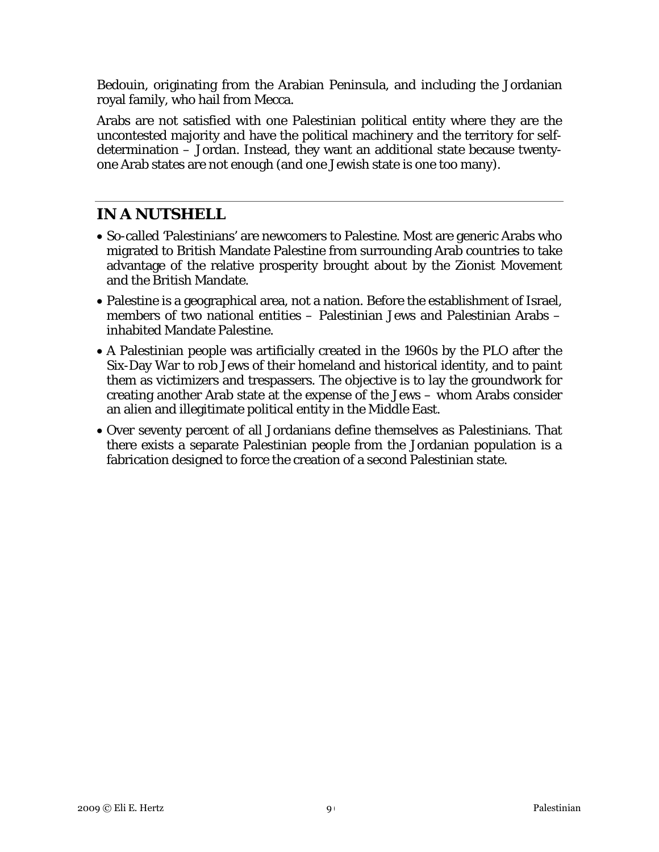Bedouin, originating from the Arabian Peninsula, and including the Jordanian royal family, who hail from Mecca.

Arabs are not satisfied with one Palestinian political entity where they are the uncontested majority and have the political machinery and the territory for selfdetermination – Jordan. Instead, they want an additional state because twentyone Arab states are not enough (and one Jewish state is one too many).

# **IN A NUTSHELL**

- So-called 'Palestinians' are newcomers to Palestine. Most are generic Arabs who migrated to British Mandate Palestine from surrounding Arab countries to take advantage of the relative prosperity brought about by the Zionist Movement and the British Mandate.
- Palestine is a geographical area, not a nation. Before the establishment of Israel, members of two national entities – Palestinian Jews and Palestinian Arabs – inhabited Mandate Palestine.
- A Palestinian people was artificially created in the 1960s by the PLO after the Six-Day War to rob Jews of their homeland and historical identity, and to paint them as victimizers and trespassers. The objective is to lay the groundwork for creating another Arab state at the expense of the Jews – whom Arabs consider an alien and illegitimate political entity in the Middle East.
- Over seventy percent of all Jordanians define themselves as Palestinians. That there exists a separate Palestinian people from the Jordanian population is a fabrication designed to force the creation of a second Palestinian state.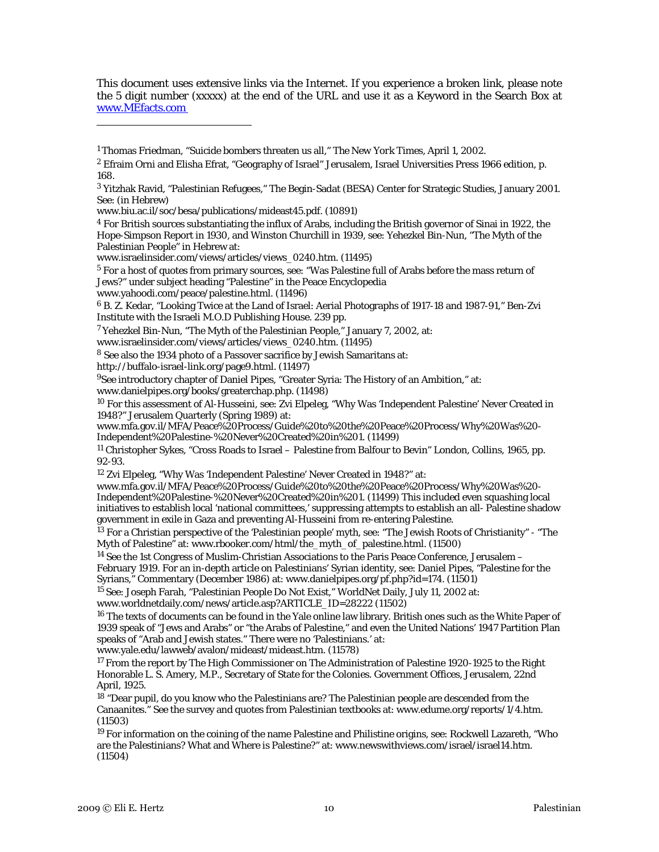This document uses extensive links via the Internet. If you experience a broken link, please note the 5 digit number (xxxxx) at the end of the URL and use it as a Keyword in the Search Box at [www.MEfacts.com](http://www.mefacts.com/) 

[www.yahoodi.com/peace/palestine.html](http://www.yahoodi.com/peace/palestine.html). (11496)

 $\overline{a}$ 

6 B. Z. Kedar, "Looking Twice at the Land of Israel: Aerial Photographs of 1917-18 and 1987-91," Ben-Zvi Institute with the Israeli M.O.D Publishing House. 239 pp.

[www.israelinsider.com/views/articles/views\\_0240.htm.](http://www.israelinsider.com/views/articles/views_0240.htm) (11495)

8 See also the 1934 photo of a Passover sacrifice by Jewish Samaritans at:

<http://buffalo-israel-link.org/page9.html>. (11497)

<sup>9</sup>See introductory chapter of Daniel Pipes, "Greater Syria: The History of an Ambition," at: [www.danielpipes.org/books/greaterchap.php.](http://www.danielpipes.org/books/greaterchap.php) (11498)

<sup>10</sup> For this assessment of Al-Husseini, see: Zvi Elpeleg, "Why Was 'Independent Palestine' Never Created in 1948?" Jerusalem Quarterly (Spring 1989) at:

[www.mfa.gov.il/MFA/Peace%20Process/Guide%20to%20the%20Peace%20Process/Why%20Was%20-](http://www.mfa.gov.il/MFA/Peace%20Process/Guide%20to%20the%20Peace%20Process/Why%20Was%20-Independent%20Palestine-%20Never%20Created%20in%201) [Independent%20Palestine-%20Never%20Created%20in%201.](http://www.mfa.gov.il/MFA/Peace%20Process/Guide%20to%20the%20Peace%20Process/Why%20Was%20-Independent%20Palestine-%20Never%20Created%20in%201) (11499)

<sup>11</sup> Christopher Sykes, "Cross Roads to Israel – Palestine from Balfour to Bevin" London, Collins, 1965, pp. 92-93.

12 Zvi Elpeleg, "Why Was 'Independent Palestine' Never Created in 1948?" at:

[www.mfa.gov.il/MFA/Peace%20Process/Guide%20to%20the%20Peace%20Process/Why%20Was%20-](http://www.mfa.gov.il/MFA/Peace%20Process/Guide%20to%20the%20Peace%20Process/Why%20Was%20-Independent%20Palestine-%20Never%20Created%20in%201) [Independent%20Palestine-%20Never%20Created%20in%201.](http://www.mfa.gov.il/MFA/Peace%20Process/Guide%20to%20the%20Peace%20Process/Why%20Was%20-Independent%20Palestine-%20Never%20Created%20in%201) (11499) This included even squashing local initiatives to establish local 'national committees,' suppressing attempts to establish an all- Palestine shadow government in exile in Gaza and preventing Al-Husseini from re-entering Palestine.

<sup>13</sup> For a Christian perspective of the 'Palestinian people' myth, see: "The Jewish Roots of Christianity" - "The Myth of Palestine" at: [www.rbooker.com/html/the\\_myth\\_of\\_palestine.html.](http://www.rbooker.com/html/the_myth_of_palestine.html) (11500)

<sup>14</sup> See the 1st Congress of Muslim-Christian Associations to the Paris Peace Conference, Jerusalem -February 1919. For an in-depth article on Palestinians' Syrian identity, see: Daniel Pipes, "Palestine for the Syrians," Commentary (December 1986) at: [www.danielpipes.org/pf.php?id=174.](http://www.danielpipes.org/pf.php?id=174) (11501)

<sup>15</sup> See: Joseph Farah, "Palestinian People Do Not Exist," WorldNet Daily, July 11, 2002 at:

[www.worldnetdaily.com/news/article.asp?ARTICLE\\_ID=28222](http://www.worldnetdaily.com/news/article.asp?ARTICLE_ID=28222) (11502)

<sup>16</sup> The texts of documents can be found in the Yale online law library. British ones such as the White Paper of 1939 speak of "Jews and Arabs" or "the Arabs of Palestine," and even the United Nations' 1947 Partition Plan speaks of "Arab and Jewish states." There were no 'Palestinians.' at:

[www.yale.edu/lawweb/avalon/mideast/mideast.htm](http://www.yale.edu/lawweb/avalon/mideast/mideast.htm). (11578)

<sup>17</sup> From the report by The High Commissioner on The Administration of Palestine 1920-1925 to the Right Honorable L. S. Amery, M.P., Secretary of State for the Colonies. Government Offices, Jerusalem, 22nd April, 1925.

<sup>18</sup> "Dear pupil, do you know who the Palestinians are? The Palestinian people are descended from the Canaanites." See the survey and quotes from Palestinian textbooks at: [www.edume.org/reports/1/4.htm](http://www.edume.org/reports/1/4.htm). (11503)

<sup>19</sup> For information on the coining of the name Palestine and Philistine origins, see: Rockwell Lazareth, "Who are the Palestinians? What and Where is Palestine?" at: [www.newswithviews.com/israel/israel14.htm](http://www.newswithviews.com/israel/israel14.htm). (11504)

<sup>1</sup> Thomas Friedman, "Suicide bombers threaten us all," *The New York Times*, April 1, 2002.

<sup>&</sup>lt;sup>2</sup> Efraim Orni and Elisha Efrat, "Geography of Israel" Jerusalem, Israel Universities Press 1966 edition, p. 168.

<sup>3</sup> Yitzhak Ravid, "Palestinian Refugees," The Begin-Sadat (BESA) Center for Strategic Studies, January 2001. See: (in Hebrew)

[www.biu.ac.il/soc/besa/publications/mideast45.pdf](http://www.biu.ac.il/soc/besa/publications/mideast45.pdf). (10891)

 $4$  For British sources substantiating the influx of Arabs, including the British governor of Sinai in 1922, the Hope-Simpson Report in 1930, and Winston Churchill in 1939, see: Yehezkel Bin-Nun, "The Myth of the Palestinian People" in Hebrew at:

[www.israelinsider.com/views/articles/views\\_0240.htm.](http://www.israelinsider.com/views/articles/views_0240.htm) (11495)

 $5$  For a host of quotes from primary sources, see: "Was Palestine full of Arabs before the mass return of Jews?" under subject heading "Palestine" in the Peace Encyclopedia

<sup>7</sup> Yehezkel Bin-Nun, "The Myth of the Palestinian People," January 7, 2002, at: